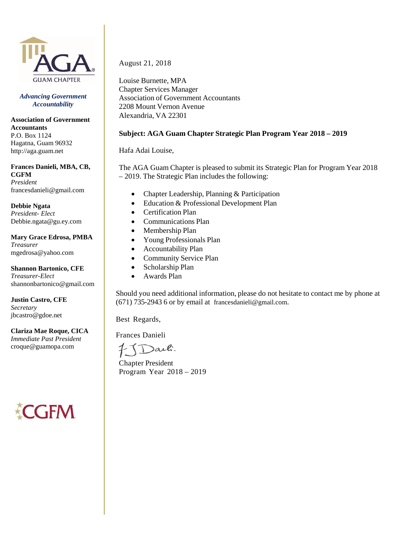

*Advancing Government Accountability*

**Association of Government Accountants** P.O. Box 1124 Hagatna, Guam 96932 http://aga.guam.net

**Frances Danieli, MBA, CB, CGFM** *President* francesdanieli@gmail.com

**Debbie Ngata** *President- Elect* [Debbie.ngata@gu.ey.com](mailto:Debbie.ngata@gu.ey.com)

**Mary Grace Edrosa, PMBA** *Treasurer* mgedrosa@yahoo.com

**Shannon Bartonico, CFE** *Treasurer-Elect* [shannonbartonico@gmail.com](mailto:floreginedelacruz@gmail.com)

**Justin Castro, CFE** *Secretary* [jbcastro@](mailto:floreginedelacruz@gmail.com)gdoe.net

**Clariza Mae Roque, CICA** *Immediate Past President* croque@guamopa.com

**CFM** 

August 21, 2018

Louise Burnette, MPA Chapter Services Manager Association of Government Accountants 2208 Mount Vernon Avenue Alexandria, VA 22301

#### **Subject: AGA Guam Chapter Strategic Plan Program Year 2018 – 2019**

Hafa Adai Louise,

The AGA Guam Chapter is pleased to submit its Strategic Plan for Program Year 2018 – 2019. The Strategic Plan includes the following:

- Chapter Leadership, Planning & Participation
- Education & Professional Development Plan
- Certification Plan
- Communications Plan
- Membership Plan
- Young Professionals Plan
- Accountability Plan
- Community Service Plan
- Scholarship Plan
- Awards Plan

Should you need additional information, please do not hesitate to contact me by phone at (671) 735-2943 6 or by email at francesdanieli@gmail.com.

Best Regards,

Frances Danieli

)aili.

Chapter President Program Year 2018 – 2019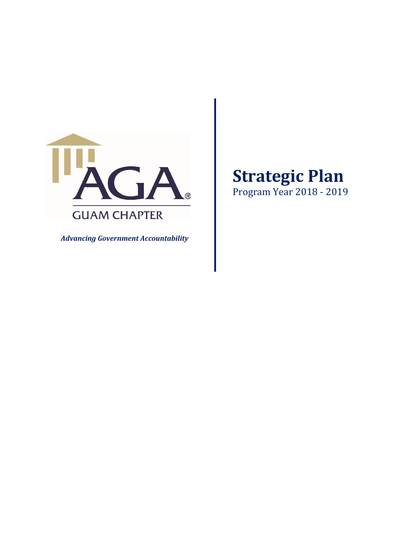

*Advancing Government Accountability* 

# **Strategic Plan**

Program Year 2018 ‐ 2019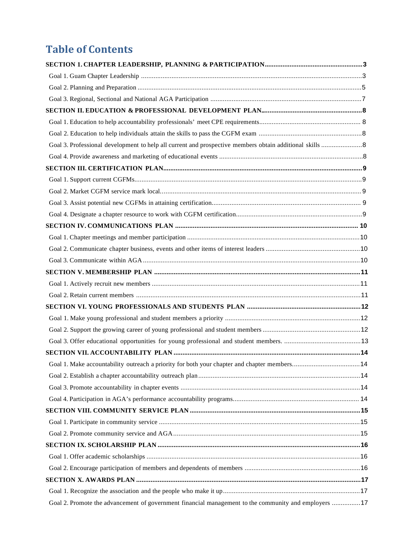## **Table of Contents**

| Goal 3. Professional development to help all current and prospective members obtain additional skills  8 |    |
|----------------------------------------------------------------------------------------------------------|----|
|                                                                                                          |    |
|                                                                                                          |    |
|                                                                                                          |    |
|                                                                                                          |    |
|                                                                                                          |    |
|                                                                                                          |    |
|                                                                                                          |    |
|                                                                                                          |    |
|                                                                                                          |    |
|                                                                                                          |    |
|                                                                                                          |    |
|                                                                                                          |    |
|                                                                                                          |    |
|                                                                                                          |    |
|                                                                                                          |    |
|                                                                                                          |    |
|                                                                                                          |    |
|                                                                                                          |    |
|                                                                                                          | 14 |
|                                                                                                          |    |
|                                                                                                          |    |
|                                                                                                          |    |
|                                                                                                          |    |
|                                                                                                          |    |
|                                                                                                          |    |
|                                                                                                          |    |
|                                                                                                          |    |
|                                                                                                          |    |
|                                                                                                          |    |
|                                                                                                          |    |
| Goal 2. Promote the advancement of government financial management to the community and employers  17    |    |
|                                                                                                          |    |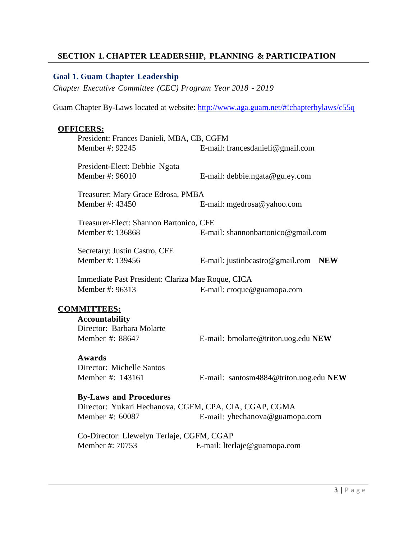#### **SECTION 1. CHAPTER LEADERSHIP, PLANNING & PARTICIPATION**

#### **Goal 1. Guam Chapter Leadership**

*Chapter Executive Committee (CEC) Program Year 2018 - 2019*

Guam Chapter By-Laws located at website:<http://www.aga.guam.net/#!chapterbylaws/c55q>

#### **OFFICERS:**

| President: Frances Danieli, MBA, CB, CGFM         |                                               |  |  |
|---------------------------------------------------|-----------------------------------------------|--|--|
| Member #: 92245                                   | E-mail: francesdanieli@gmail.com              |  |  |
|                                                   |                                               |  |  |
| President-Elect: Debbie Ngata                     |                                               |  |  |
| Member #: 96010                                   | E-mail: debbie.ngata@gu.ey.com                |  |  |
| Treasurer: Mary Grace Edrosa, PMBA                |                                               |  |  |
| Member #: 43450                                   |                                               |  |  |
|                                                   | E-mail: mgedrosa@yahoo.com                    |  |  |
| Treasurer-Elect: Shannon Bartonico, CFE           |                                               |  |  |
| Member #: 136868                                  | E-mail: shannonbartonico@gmail.com            |  |  |
|                                                   |                                               |  |  |
| Secretary: Justin Castro, CFE                     |                                               |  |  |
| Member #: 139456                                  | E-mail: justinbcastro@gmail.com<br><b>NEW</b> |  |  |
| Immediate Past President: Clariza Mae Roque, CICA |                                               |  |  |
| Member #: 96313                                   |                                               |  |  |
|                                                   | E-mail: croque@guamopa.com                    |  |  |
|                                                   |                                               |  |  |
| <b>COMMITTEES:</b>                                |                                               |  |  |
| <b>Accountability</b>                             |                                               |  |  |

Director: Barbara Molarte

Member #: 88647 E-mail: bmolarte@triton.uog.edu **NEW**

#### **Awards**

Director: Michelle Santos

Member #: 143161 E-mail: santosm4884@triton.uog.edu **NEW**

#### **By-Laws and Procedures**

Director: Yukari Hechanova, CGFM, CPA, CIA, CGAP, CGMA Member #: 60087 E-mail: yhechanova@guamopa.com

Co-Director: Llewelyn Terlaje, CGFM, CGAP Member #: 70753 E-mail: lterlaje@guamopa.com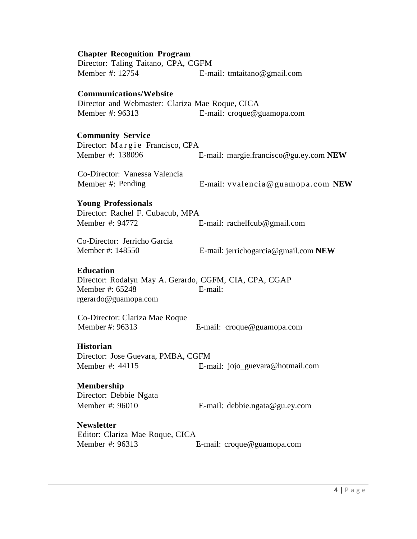| <b>Chapter Recognition Program</b>                                                                                    |                                        |
|-----------------------------------------------------------------------------------------------------------------------|----------------------------------------|
| Director: Taling Taitano, CPA, CGFM                                                                                   |                                        |
| Member #: 12754                                                                                                       | E-mail: tmtaitano@gmail.com            |
| <b>Communications/Website</b><br>Director and Webmaster: Clariza Mae Roque, CICA<br>Member #: 96313                   | E-mail: croque@guamopa.com             |
|                                                                                                                       |                                        |
| <b>Community Service</b><br>Director: Margie Francisco, CPA<br>Member #: 138096                                       | E-mail: margie.francisco@gu.ey.com NEW |
| Co-Director: Vanessa Valencia<br>Member #: Pending                                                                    | E-mail: vvalencia@guamopa.com NEW      |
| <b>Young Professionals</b><br>Director: Rachel F. Cubacub, MPA<br>Member #: 94772                                     | E-mail: rachelfcub@gmail.com           |
| Co-Director: Jerricho Garcia<br>Member #: 148550                                                                      | E-mail: jerrichogarcia@gmail.com NEW   |
| <b>Education</b><br>Director: Rodalyn May A. Gerardo, CGFM, CIA, CPA, CGAP<br>Member #: 65248<br>rgerardo@guamopa.com | E-mail:                                |
| Co-Director: Clariza Mae Roque<br>Member #: 96313                                                                     | E-mail: croque@guamopa.com             |
| <b>Historian</b><br>Director: Jose Guevara, PMBA, CGFM<br>Member #: 44115                                             | E-mail: jojo_guevara@hotmail.com       |
| Membership<br>Director: Debbie Ngata<br>Member #: 96010                                                               | E-mail: debbie.ngata@gu.ey.com         |
| <b>Newsletter</b><br>Editor: Clariza Mae Roque, CICA<br>Member #: 96313                                               | E-mail: croque@guamopa.com             |
|                                                                                                                       |                                        |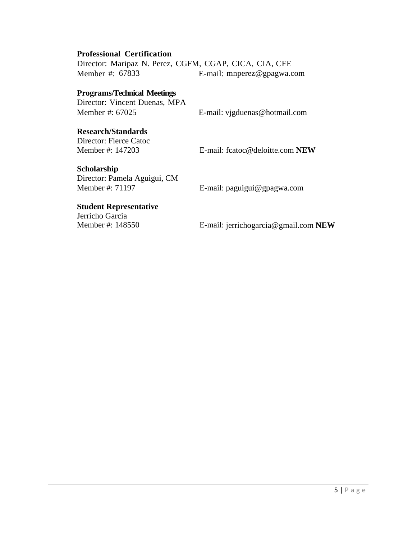#### **Professional Certification**

Director: Maripaz N. Perez, CGFM, CGAP, CICA, CIA, CFE Member #: 67833 E-mail: mnperez@gpagwa.com

#### **Programs/Technical Meetings**

Director: Vincent Duenas, MPA Member #: 67025 E-mail: vjgduenas@hotmail.com

#### **Research/Standards**

Director: Fierce Catoc

Member #: 147203 E-mail: fcatoc@deloitte.com **NEW**

#### **Scholarship**

Director: Pamela Aguigui, CM<br>Member #: 71197

E-mail: paguigui@gpagwa.com

#### **Student Representative**

Jerricho Garcia<br>Member #: 148550

E-mail: jerrichogarcia@gmail.com **NEW**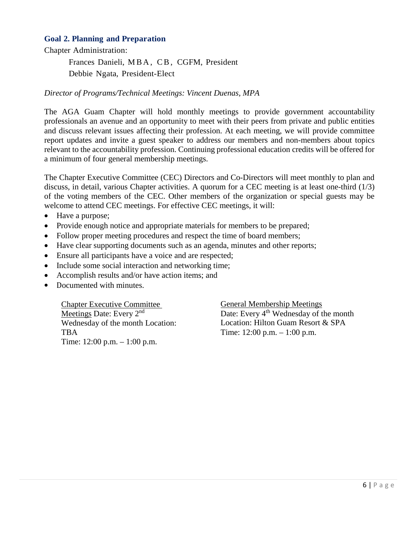#### **Goal 2. Planning and Preparation**

Chapter Administration:

Frances Danieli, MBA, CB, CGFM, President

Debbie Ngata, President-Elect

#### *Director of Programs/Technical Meetings: Vincent Duenas, MPA*

The AGA Guam Chapter will hold monthly meetings to provide government accountability professionals an avenue and an opportunity to meet with their peers from private and public entities and discuss relevant issues affecting their profession. At each meeting, we will provide committee report updates and invite a guest speaker to address our members and non-members about topics relevant to the accountability profession. Continuing professional education credits will be offered for a minimum of four general membership meetings.

The Chapter Executive Committee (CEC) Directors and Co-Directors will meet monthly to plan and discuss, in detail, various Chapter activities. A quorum for a CEC meeting is at least one-third (1/3) of the voting members of the CEC. Other members of the organization or special guests may be welcome to attend CEC meetings. For effective CEC meetings, it will:

- Have a purpose;
- Provide enough notice and appropriate materials for members to be prepared;
- Follow proper meeting procedures and respect the time of board members;
- Have clear supporting documents such as an agenda, minutes and other reports;
- Ensure all participants have a voice and are respected;
- Include some social interaction and networking time;
- Accomplish results and/or have action items; and
- Documented with minutes.

Chapter Executive Committee Meetings Date: Every 2<sup>nd</sup> Wednesday of the month Location: TBA Time: 12:00 p.m. – 1:00 p.m.

General Membership Meetings Date: Every 4<sup>th</sup> Wednesday of the month Location: Hilton Guam Resort & SPA Time: 12:00 p.m. – 1:00 p.m.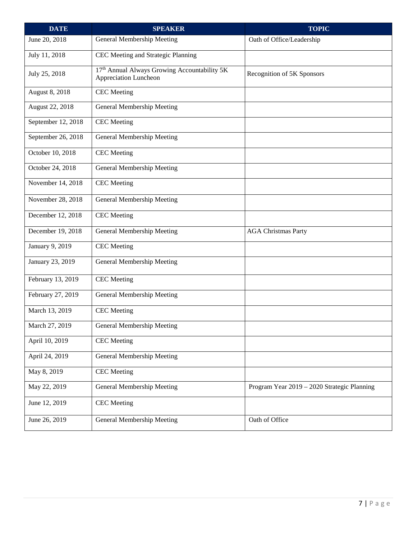| <b>DATE</b>        | <b>SPEAKER</b>                                                        | <b>TOPIC</b>                                |
|--------------------|-----------------------------------------------------------------------|---------------------------------------------|
| June 20, 2018      | General Membership Meeting                                            | Oath of Office/Leadership                   |
| July 11, 2018      | CEC Meeting and Strategic Planning                                    |                                             |
| July 25, 2018      | 17th Annual Always Growing Accountability 5K<br>Appreciation Luncheon | Recognition of 5K Sponsors                  |
| August 8, 2018     | <b>CEC</b> Meeting                                                    |                                             |
| August 22, 2018    | General Membership Meeting                                            |                                             |
| September 12, 2018 | <b>CEC</b> Meeting                                                    |                                             |
| September 26, 2018 | General Membership Meeting                                            |                                             |
| October 10, 2018   | <b>CEC</b> Meeting                                                    |                                             |
| October 24, 2018   | General Membership Meeting                                            |                                             |
| November 14, 2018  | <b>CEC</b> Meeting                                                    |                                             |
| November 28, 2018  | General Membership Meeting                                            |                                             |
| December 12, 2018  | <b>CEC</b> Meeting                                                    |                                             |
| December 19, 2018  | General Membership Meeting                                            | <b>AGA Christmas Party</b>                  |
| January 9, 2019    | <b>CEC</b> Meeting                                                    |                                             |
| January 23, 2019   | General Membership Meeting                                            |                                             |
| February 13, 2019  | <b>CEC</b> Meeting                                                    |                                             |
| February 27, 2019  | General Membership Meeting                                            |                                             |
| March 13, 2019     | <b>CEC</b> Meeting                                                    |                                             |
| March 27, 2019     | General Membership Meeting                                            |                                             |
| April 10, 2019     | <b>CEC</b> Meeting                                                    |                                             |
| April 24, 2019     | General Membership Meeting                                            |                                             |
| May 8, 2019        | <b>CEC</b> Meeting                                                    |                                             |
| May 22, 2019       | General Membership Meeting                                            | Program Year 2019 - 2020 Strategic Planning |
| June 12, 2019      | <b>CEC</b> Meeting                                                    |                                             |
| June 26, 2019      | General Membership Meeting                                            | Oath of Office                              |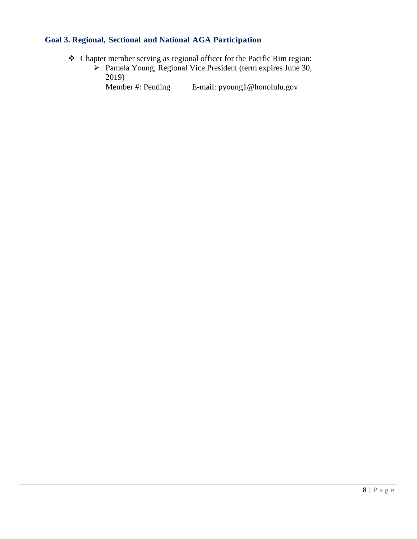### **Goal 3. Regional, Sectional and National AGA Participation**

- Chapter member serving as regional officer for the Pacific Rim region:
	- $\triangleright$  Pamela Young, Regional Vice President (term expires June 30, 2019)<br>Member #: Pending

E-mail: pyoung1@honolulu.gov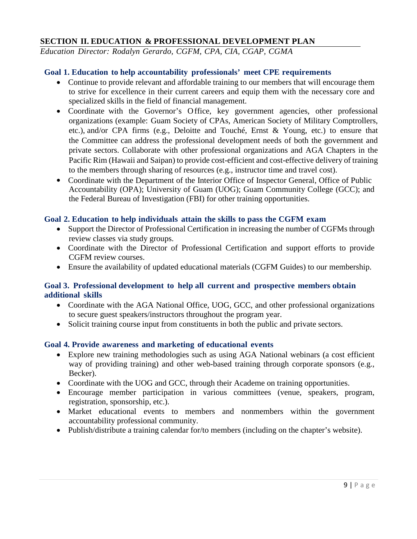#### **SECTION II. EDUCATION & PROFESSIONAL DEVELOPMENT PLAN**

*Education Director: Rodalyn Gerardo, CGFM, CPA, CIA, CGAP, CGMA*

#### **Goal 1. Education to help accountability professionals' meet CPE requirements**

- Continue to provide relevant and affordable training to our members that will encourage them to strive for excellence in their current careers and equip them with the necessary core and specialized skills in the field of financial management.
- Coordinate with the Governor's Office, key government agencies, other professional organizations (example: Guam Society of CPAs, American Society of Military Comptrollers, etc.), and/or CPA firms (e.g., Deloitte and Touché, Ernst & Young, etc.) to ensure that the Committee can address the professional development needs of both the government and private sectors. Collaborate with other professional organizations and AGA Chapters in the Pacific Rim (Hawaii and Saipan) to provide cost-efficient and cost-effective delivery of training to the members through sharing of resources (e.g., instructor time and travel cost).
- Coordinate with the Department of the Interior Office of Inspector General, Office of Public Accountability (OPA); University of Guam (UOG); Guam Community College (GCC); and the Federal Bureau of Investigation (FBI) for other training opportunities.

#### **Goal 2. Education to help individuals attain the skills to pass the CGFM exam**

- Support the Director of Professional Certification in increasing the number of CGFMs through review classes via study groups.
- Coordinate with the Director of Professional Certification and support efforts to provide CGFM review courses.
- Ensure the availability of updated educational materials (CGFM Guides) to our membership.

#### **Goal 3. Professional development to help all current and prospective members obtain additional skills**

- Coordinate with the AGA National Office, UOG, GCC, and other professional organizations to secure guest speakers/instructors throughout the program year.
- Solicit training course input from constituents in both the public and private sectors.

#### **Goal 4. Provide awareness and marketing of educational events**

- Explore new training methodologies such as using AGA National webinars (a cost efficient way of providing training) and other web-based training through corporate sponsors (e.g., Becker).
- Coordinate with the UOG and GCC, through their Academe on training opportunities.
- Encourage member participation in various committees (venue, speakers, program, registration, sponsorship, etc.).
- Market educational events to members and nonmembers within the government accountability professional community.
- Publish/distribute a training calendar for/to members (including on the chapter's website).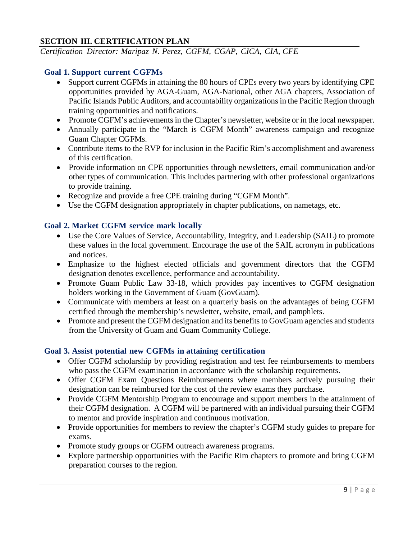#### **SECTION III. CERTIFICATION PLAN**

*Certification Director: Maripaz N. Perez, CGFM, CGAP, CICA, CIA, CFE*

#### **Goal 1. Support current CGFMs**

- Support current CGFMs in attaining the 80 hours of CPEs every two years by identifying CPE opportunities provided by AGA-Guam, AGA-National, other AGA chapters, Association of Pacific Islands Public Auditors, and accountability organizations in the Pacific Region through training opportunities and notifications.
- Promote CGFM's achievements in the Chapter's newsletter, website or in the local newspaper.
- Annually participate in the "March is CGFM Month" awareness campaign and recognize Guam Chapter CGFMs.
- Contribute items to the RVP for inclusion in the Pacific Rim's accomplishment and awareness of this certification.
- Provide information on CPE opportunities through newsletters, email communication and/or other types of communication. This includes partnering with other professional organizations to provide training.
- Recognize and provide a free CPE training during "CGFM Month".
- Use the CGFM designation appropriately in chapter publications, on nametags, etc.

#### **Goal 2. Market CGFM service mark locally**

- Use the Core Values of Service, Accountability, Integrity, and Leadership (SAIL) to promote these values in the local government. Encourage the use of the SAIL acronym in publications and notices.
- Emphasize to the highest elected officials and government directors that the CGFM designation denotes excellence, performance and accountability.
- Promote Guam Public Law 33-18, which provides pay incentives to CGFM designation holders working in the Government of Guam (GovGuam).
- Communicate with members at least on a quarterly basis on the advantages of being CGFM certified through the membership's newsletter, website, email, and pamphlets.
- Promote and present the CGFM designation and its benefits to GovGuam agencies and students from the University of Guam and Guam Community College.

#### **Goal 3. Assist potential new CGFMs in attaining certification**

- Offer CGFM scholarship by providing registration and test fee reimbursements to members who pass the CGFM examination in accordance with the scholarship requirements.
- Offer CGFM Exam Questions Reimbursements where members actively pursuing their designation can be reimbursed for the cost of the review exams they purchase.
- Provide CGFM Mentorship Program to encourage and support members in the attainment of their CGFM designation. A CGFM will be partnered with an individual pursuing their CGFM to mentor and provide inspiration and continuous motivation.
- Provide opportunities for members to review the chapter's CGFM study guides to prepare for exams.
- Promote study groups or CGFM outreach awareness programs.
- Explore partnership opportunities with the Pacific Rim chapters to promote and bring CGFM preparation courses to the region.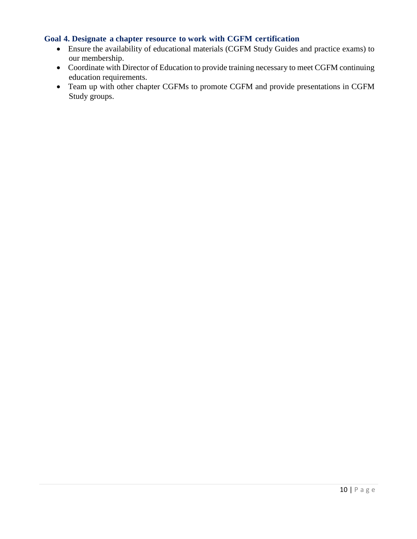#### **Goal 4. Designate a chapter resource to work with CGFM certification**

- Ensure the availability of educational materials (CGFM Study Guides and practice exams) to our membership.
- Coordinate with Director of Education to provide training necessary to meet CGFM continuing education requirements.
- Team up with other chapter CGFMs to promote CGFM and provide presentations in CGFM Study groups.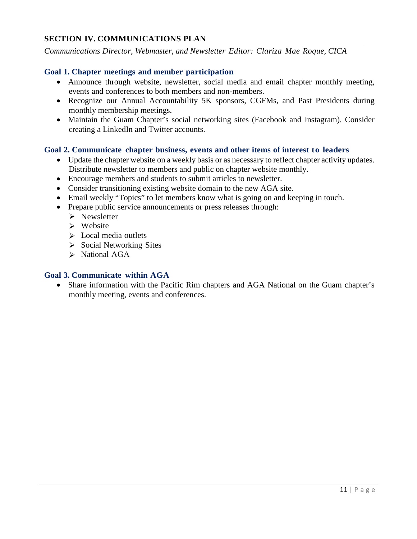#### **SECTION IV. COMMUNICATIONS PLAN**

*Communications Director, Webmaster, and Newsletter Editor: Clariza Mae Roque, CICA*

#### **Goal 1. Chapter meetings and member participation**

- Announce through website, newsletter, social media and email chapter monthly meeting, events and conferences to both members and non-members.
- Recognize our Annual Accountability 5K sponsors, CGFMs, and Past Presidents during monthly membership meetings.
- Maintain the Guam Chapter's social networking sites (Facebook and Instagram). Consider creating a LinkedIn and Twitter accounts.

#### **Goal 2. Communicate chapter business, events and other items of interest to leaders**

- Update the chapter website on a weekly basis or as necessary to reflect chapter activity updates. Distribute newsletter to members and public on chapter website monthly.
- Encourage members and students to submit articles to newsletter.
- Consider transitioning existing website domain to the new AGA site.
- Email weekly "Topics" to let members know what is going on and keeping in touch.
- Prepare public service announcements or press releases through:
	- $\triangleright$  Newsletter
	- $\triangleright$  Website
	- $\triangleright$  Local media outlets
	- $\triangleright$  Social Networking Sites
	- $\triangleright$  National AGA

#### **Goal 3. Communicate within AGA**

• Share information with the Pacific Rim chapters and AGA National on the Guam chapter's monthly meeting, events and conferences.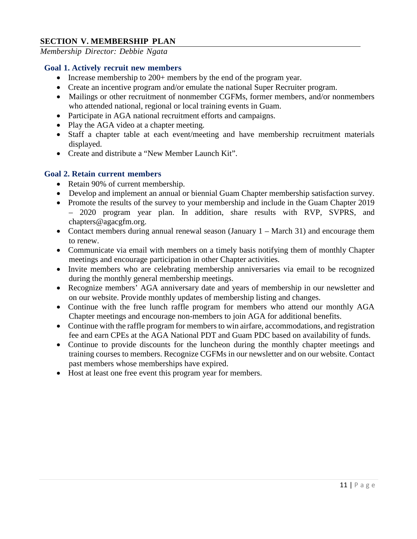#### **SECTION V. MEMBERSHIP PLAN**

*Membership Director: Debbie Ngata*

#### **Goal 1. Actively recruit new members**

- Increase membership to 200+ members by the end of the program year.
- Create an incentive program and/or emulate the national Super Recruiter program.
- Mailings or other recruitment of nonmember CGFMs, former members, and/or nonmembers who attended national, regional or local training events in Guam.
- Participate in AGA national recruitment efforts and campaigns.
- Play the AGA video at a chapter meeting.
- Staff a chapter table at each event/meeting and have membership recruitment materials displayed.
- Create and distribute a "New Member Launch Kit".

#### **Goal 2. Retain current members**

- Retain 90% of current membership.
- Develop and implement an annual or biennial Guam Chapter membership satisfaction survey.
- Promote the results of the survey to your membership and include in the Guam Chapter 2019 – 2020 program year plan. In addition, share results with RVP, SVPRS, and [chapters@agacgfm.org.](mailto:chapters@agacgfm.org)
- Contact members during annual renewal season (January 1 March 31) and encourage them to renew.
- Communicate via email with members on a timely basis notifying them of monthly Chapter meetings and encourage participation in other Chapter activities.
- Invite members who are celebrating membership anniversaries via email to be recognized during the monthly general membership meetings.
- Recognize members' AGA anniversary date and years of membership in our newsletter and on our website. Provide monthly updates of membership listing and changes.
- Continue with the free lunch raffle program for members who attend our monthly AGA Chapter meetings and encourage non-members to join AGA for additional benefits.
- Continue with the raffle program for members to win airfare, accommodations, and registration fee and earn CPEs at the AGA National PDT and Guam PDC based on availability of funds.
- Continue to provide discounts for the luncheon during the monthly chapter meetings and training courses to members. Recognize CGFMs in our newsletter and on our website. Contact past members whose memberships have expired.
- Host at least one free event this program year for members.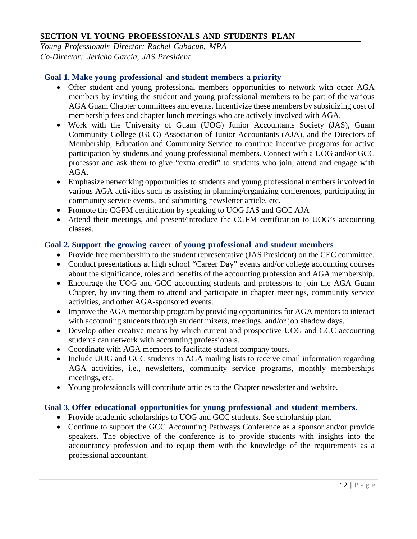#### **SECTION VI. YOUNG PROFESSIONALS AND STUDENTS PLAN**

*Young Professionals Director: Rachel Cubacub, MPA Co-Director: Jericho Garcia, JAS President*

#### **Goal 1. Make young professional and student members a priority**

- Offer student and young professional members opportunities to network with other AGA members by inviting the student and young professional members to be part of the various AGA Guam Chapter committees and events. Incentivize these members by subsidizing cost of membership fees and chapter lunch meetings who are actively involved with AGA.
- Work with the University of Guam (UOG) Junior Accountants Society (JAS), Guam Community College (GCC) Association of Junior Accountants (AJA), and the Directors of Membership, Education and Community Service to continue incentive programs for active participation by students and young professional members. Connect with a UOG and/or GCC professor and ask them to give "extra credit" to students who join, attend and engage with AGA.
- Emphasize networking opportunities to students and young professional members involved in various AGA activities such as assisting in planning/organizing conferences, participating in community service events, and submitting newsletter article, etc.
- Promote the CGFM certification by speaking to UOG JAS and GCC AJA
- Attend their meetings, and present/introduce the CGFM certification to UOG's accounting classes.

#### **Goal 2. Support the growing career of young professional and student members**

- Provide free membership to the student representative (JAS President) on the CEC committee.
- Conduct presentations at high school "Career Day" events and/or college accounting courses about the significance, roles and benefits of the accounting profession and AGA membership.
- Encourage the UOG and GCC accounting students and professors to join the AGA Guam Chapter, by inviting them to attend and participate in chapter meetings, community service activities, and other AGA-sponsored events.
- Improve the AGA mentorship program by providing opportunities for AGA mentors to interact with accounting students through student mixers, meetings, and/or job shadow days.
- Develop other creative means by which current and prospective UOG and GCC accounting students can network with accounting professionals.
- Coordinate with AGA members to facilitate student company tours.
- Include UOG and GCC students in AGA mailing lists to receive email information regarding AGA activities, i.e., newsletters, community service programs, monthly memberships meetings, etc.
- Young professionals will contribute articles to the Chapter newsletter and website.

#### **Goal 3. Offer educational opportunities for young professional and student members.**

- Provide academic scholarships to UOG and GCC students. See scholarship plan.
- Continue to support the GCC Accounting Pathways Conference as a sponsor and/or provide speakers. The objective of the conference is to provide students with insights into the accountancy profession and to equip them with the knowledge of the requirements as a professional accountant.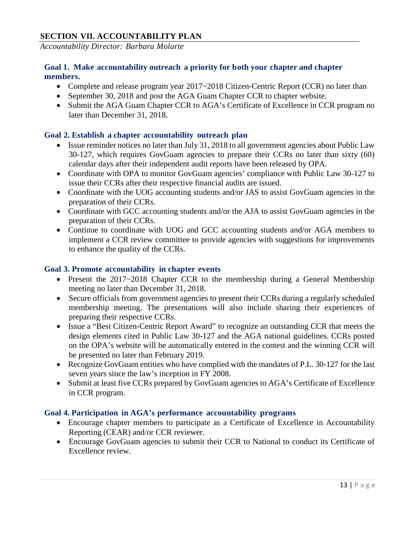#### **SECTION VII. ACCOUNTABILITY PLAN**

*Accountability Director: Barbara Molarte*

#### **Goal 1. Make accountability outreach a priority for both your chapter and chapter members.**

- Complete and release program year 2017~2018 Citizen-Centric Report (CCR) no later than
- September 30, 2018 and post the AGA Guam Chapter CCR to chapter website.
- Submit the AGA Guam Chapter CCR to AGA's Certificate of Excellence in CCR program no later than December 31, 2018.

#### **Goal 2. Establish a chapter accountability outreach plan**

- Issue reminder notices no later than July 31, 2018 to all government agencies about Public Law 30-127, which requires GovGuam agencies to prepare their CCRs no later than sixty (60) calendar days after their independent audit reports have been released by OPA.
- Coordinate with OPA to monitor GovGuam agencies' compliance with Public Law 30-127 to issue their CCRs after their respective financial audits are issued.
- Coordinate with the UOG accounting students and/or JAS to assist GovGuam agencies in the preparation of their CCRs.
- Coordinate with GCC accounting students and/or the AJA to assist GovGuam agencies in the preparation of their CCRs.
- Continue to coordinate with UOG and GCC accounting students and/or AGA members to implement a CCR review committee to provide agencies with suggestions for improvements to enhance the quality of the CCRs.

#### **Goal 3. Promote accountability in chapter events**

- Present the 2017~2018 Chapter CCR to the membership during a General Membership meeting no later than December 31, 2018.
- Secure officials from government agencies to present their CCRs during a regularly scheduled membership meeting. The presentations will also include sharing their experiences of preparing their respective CCRs.
- Issue a "Best Citizen-Centric Report Award" to recognize an outstanding CCR that meets the design elements cited in Public Law 30-127 and the AGA national guidelines. CCRs posted on the OPA's website will be automatically entered in the contest and the winning CCR will be presented no later than February 2019.
- Recognize GovGuam entities who have complied with the mandates of P.L. 30-127 for the last seven years since the law's inception in FY 2008.
- Submit at least five CCRs prepared by GovGuam agencies to AGA's Certificate of Excellence in CCR program.

#### **Goal 4. Participation in AGA's performance accountability programs**

- Encourage chapter members to participate as a Certificate of Excellence in Accountability Reporting (CEAR) and/or CCR reviewer.
- Encourage GovGuam agencies to submit their CCR to National to conduct its Certificate of Excellence review.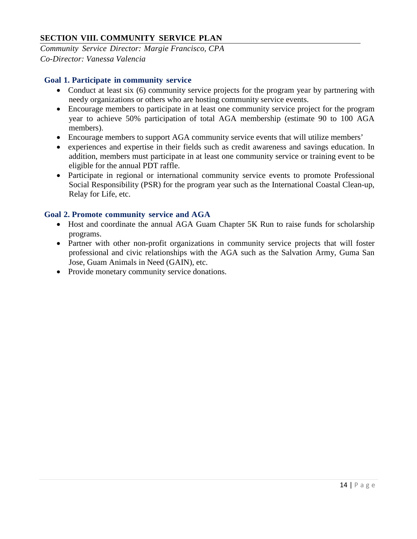#### **SECTION VIII. COMMUNITY SERVICE PLAN**

*Community Service Director: Margie Francisco, CPA Co-Director: Vanessa Valencia*

#### **Goal 1. Participate in community service**

- Conduct at least six (6) community service projects for the program year by partnering with needy organizations or others who are hosting community service events.
- Encourage members to participate in at least one community service project for the program year to achieve 50% participation of total AGA membership (estimate 90 to 100 AGA members).
- Encourage members to support AGA community service events that will utilize members'
- experiences and expertise in their fields such as credit awareness and savings education. In addition, members must participate in at least one community service or training event to be eligible for the annual PDT raffle.
- Participate in regional or international community service events to promote Professional Social Responsibility (PSR) for the program year such as the International Coastal Clean-up, Relay for Life, etc.

#### **Goal 2. Promote community service and AGA**

- Host and coordinate the annual AGA Guam Chapter 5K Run to raise funds for scholarship programs.
- Partner with other non-profit organizations in community service projects that will foster professional and civic relationships with the AGA such as the Salvation Army, Guma San Jose, Guam Animals in Need (GAIN), etc.
- Provide monetary community service donations.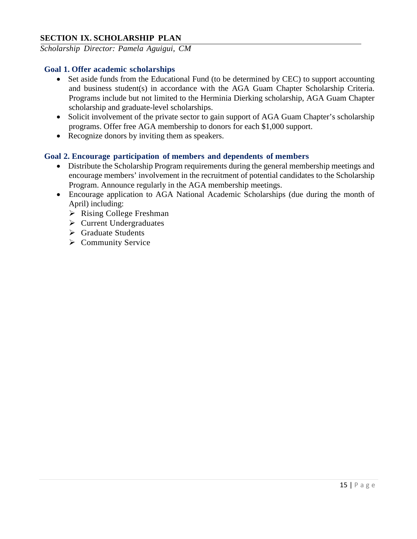#### **SECTION IX. SCHOLARSHIP PLAN**

*Scholarship Director: Pamela Aguigui, CM*

#### **Goal 1. Offer academic scholarships**

- Set aside funds from the Educational Fund (to be determined by CEC) to support accounting and business student(s) in accordance with the AGA Guam Chapter Scholarship Criteria. Programs include but not limited to the Herminia Dierking scholarship, AGA Guam Chapter scholarship and graduate-level scholarships.
- Solicit involvement of the private sector to gain support of AGA Guam Chapter's scholarship programs. Offer free AGA membership to donors for each \$1,000 support.
- Recognize donors by inviting them as speakers.

#### **Goal 2. Encourage participation of members and dependents of members**

- Distribute the Scholarship Program requirements during the general membership meetings and encourage members' involvement in the recruitment of potential candidates to the Scholarship Program. Announce regularly in the AGA membership meetings.
- Encourage application to AGA National Academic Scholarships (due during the month of April) including:
	- $\triangleright$  Rising College Freshman
	- $\triangleright$  Current Undergraduates
	- $\triangleright$  Graduate Students
	- $\triangleright$  Community Service